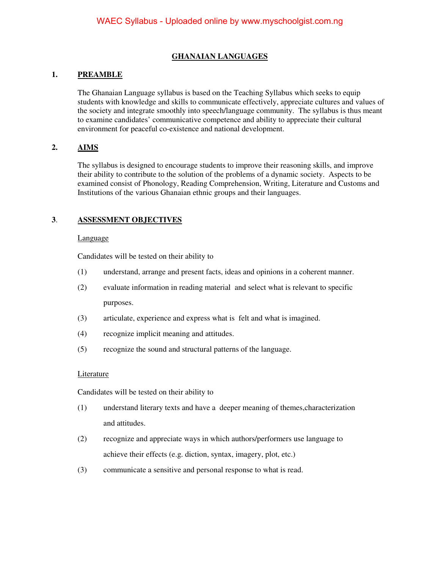## **GHANAIAN LANGUAGES**

## **1. PREAMBLE**

The Ghanaian Language syllabus is based on the Teaching Syllabus which seeks to equip students with knowledge and skills to communicate effectively, appreciate cultures and values of the society and integrate smoothly into speech/language community. The syllabus is thus meant to examine candidates' communicative competence and ability to appreciate their cultural environment for peaceful co-existence and national development.

### **2. AIMS**

The syllabus is designed to encourage students to improve their reasoning skills, and improve their ability to contribute to the solution of the problems of a dynamic society. Aspects to be examined consist of Phonology, Reading Comprehension, Writing, Literature and Customs and Institutions of the various Ghanaian ethnic groups and their languages.

## **3**. **ASSESSMENT OBJECTIVES**

#### Language

Candidates will be tested on their ability to

- (1) understand, arrange and present facts, ideas and opinions in a coherent manner.
- (2) evaluate information in reading material and select what is relevant to specific purposes.
- (3) articulate, experience and express what is felt and what is imagined.
- (4) recognize implicit meaning and attitudes.
- (5) recognize the sound and structural patterns of the language.

#### **Literature**

Candidates will be tested on their ability to

- (1) understand literary texts and have a deeper meaning of themes,characterization and attitudes.
- (2) recognize and appreciate ways in which authors/performers use language to achieve their effects (e.g. diction, syntax, imagery, plot, etc.)
- (3) communicate a sensitive and personal response to what is read.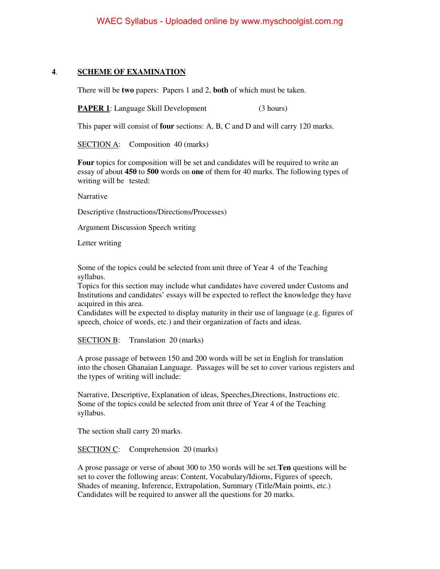## **4**. **SCHEME OF EXAMINATION**

There will be **two** papers: Papers 1 and 2, **both** of which must be taken.

**PAPER 1**: Language Skill Development (3 hours)

This paper will consist of **four** sections: A, B, C and D and will carry 120 marks.

SECTION A: Composition 40 (marks)

**Four** topics for composition will be set and candidates will be required to write an essay of about **450** to **500** words on **one** of them for 40 marks. The following types of writing will be tested:

Narrative

Descriptive (Instructions/Directions/Processes)

Argument Discussion Speech writing

Letter writing

Some of the topics could be selected from unit three of Year 4 of the Teaching syllabus.

Topics for this section may include what candidates have covered under Customs and Institutions and candidates' essays will be expected to reflect the knowledge they have acquired in this area.

Candidates will be expected to display maturity in their use of language (e.g. figures of speech, choice of words, etc.) and their organization of facts and ideas.

SECTION B: Translation 20 (marks)

A prose passage of between 150 and 200 words will be set in English for translation into the chosen Ghanaian Language. Passages will be set to cover various registers and the types of writing will include:

 Narrative, Descriptive, Explanation of ideas, Speeches,Directions, Instructions etc. Some of the topics could be selected from unit three of Year 4 of the Teaching syllabus.

The section shall carry 20 marks.

SECTION C: Comprehension 20 (marks)

A prose passage or verse of about 300 to 350 words will be set.**Ten** questions will be set to cover the following areas: Content, Vocabulary/Idioms, Figures of speech, Shades of meaning, Inference, Extrapolation, Summary (Title/Main points, etc.) Candidates will be required to answer all the questions for 20 marks.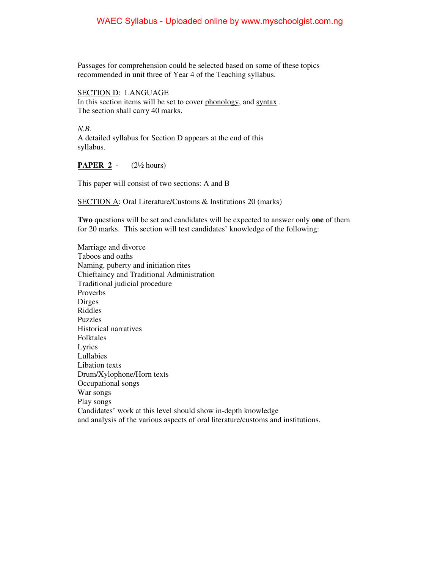Passages for comprehension could be selected based on some of these topics recommended in unit three of Year 4 of the Teaching syllabus.

SECTION D: LANGUAGE In this section items will be set to cover phonology, and syntax . The section shall carry 40 marks.

*N.B.*  A detailed syllabus for Section D appears at the end of this syllabus.

#### **PAPER 2** - (2½ hours)

This paper will consist of two sections: A and B

SECTION A: Oral Literature/Customs & Institutions 20 (marks)

**Two** questions will be set and candidates will be expected to answer only **one** of them for 20 marks. This section will test candidates' knowledge of the following:

 Marriage and divorce Taboos and oaths Naming, puberty and initiation rites Chieftaincy and Traditional Administration Traditional judicial procedure Proverbs Dirges Riddles Puzzles Historical narratives Folktales Lyrics Lullabies Libation texts Drum/Xylophone/Horn texts Occupational songs War songs Play songs Candidates' work at this level should show in-depth knowledge and analysis of the various aspects of oral literature/customs and institutions.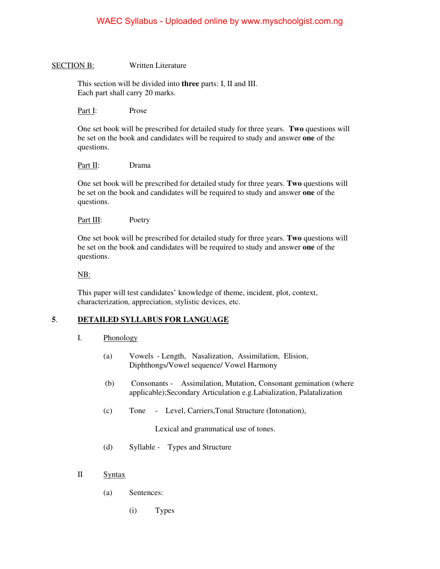#### SECTION B: Written Literature

 This section will be divided into **three** parts: I, II and III. Each part shall carry 20 marks.

Part I: Prose

One set book will be prescribed for detailed study for three years. **Two** questions will be set on the book and candidates will be required to study and answer **one** of the questions.

#### Part II: Drama

One set book will be prescribed for detailed study for three years. **Two** questions will be set on the book and candidates will be required to study and answer **one** of the questions.

#### Part III: Poetry

One set book will be prescribed for detailed study for three years. **Two** questions will be set on the book and candidates will be required to study and answer **one** of the questions.

#### NB:

This paper will test candidates' knowledge of theme, incident, plot, context, characterization, appreciation, stylistic devices, etc.

## **5**. **DETAILED SYLLABUS FOR LANGUAGE**

#### I. Phonology

- (a) Vowels Length, Nasalization, Assimilation, Elision, Diphthongs/Vowel sequence/ Vowel Harmony
- (b) Consonants Assimilation, Mutation, Consonant gemination (where applicable);Secondary Articulation e.g.Labialization, Palatalization
- (c) Tone Level, Carriers,Tonal Structure (Intonation),

Lexical and grammatical use of tones.

- (d) Syllable Types and Structure
- II Syntax
	- (a) Sentences:
		- (i) Types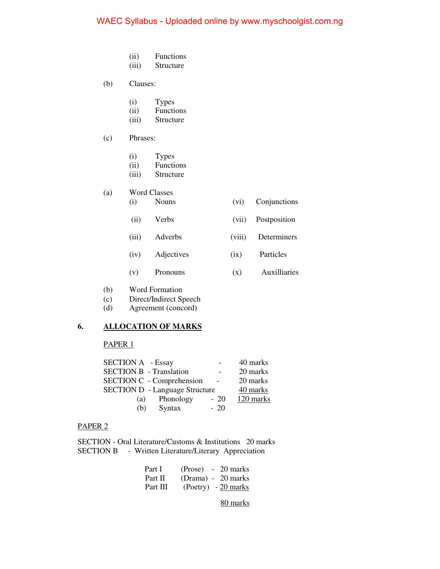- (ii) Functions
- (iii) Structure
- (b) Clauses:
	-
	- (i) Types<br>(ii) Function **Functions**
	- (iii) Structure
- (c) Phrases:
	- (i) Types
	- (ii) Functions
	- (iii) Structure
- (a) Word Classes
	- (i) Nouns (vi) Conjunctions
		- (ii) Verbs (vii) Postposition
	- (iii) Adverbs (viii) Determiners
	- (iv) Adjectives (ix) Particles
	- (v) Pronouns (x) Auxilliaries
- (b) Word Formation
- (c) Direct/Indirect Speech<br>(d) Agreement (concord)
- Agreement (concord)

#### **6. ALLOCATION OF MARKS**

## PAPER 1

| <b>SECTION A</b> - Essay              |                          | 40 marks  |
|---------------------------------------|--------------------------|-----------|
| <b>SECTION B - Translation</b>        | $\overline{\phantom{0}}$ | 20 marks  |
| SECTION C - Comprehension             | $\sim$ $-$               | 20 marks  |
| <b>SECTION D</b> - Language Structure |                          | 40 marks  |
| Phonology<br>(a)                      | $-20$                    | 120 marks |
| Syntax<br>(b)                         | $-20$                    |           |

#### PAPER 2

SECTION - Oral Literature/Customs & Institutions 20 marks SECTION B - Written Literature/Literary Appreciation

|  | Part I (Prose) - 20 marks      |  |
|--|--------------------------------|--|
|  | Part II (Drama) - 20 marks     |  |
|  | Part III (Poetry) - $20$ marks |  |

80 marks